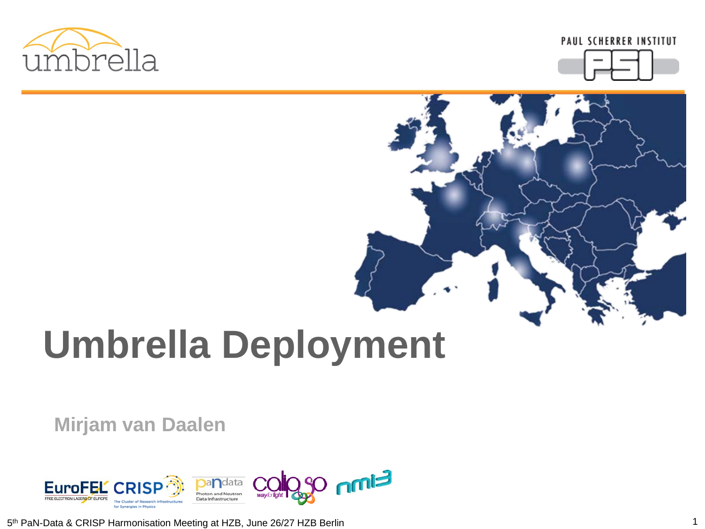



# **Umbrella Deployment**

**Mirjam van Daalen**



5th PaN-Data & CRISP Harmonisation Meeting at HZB, June 26/27 HZB Berlin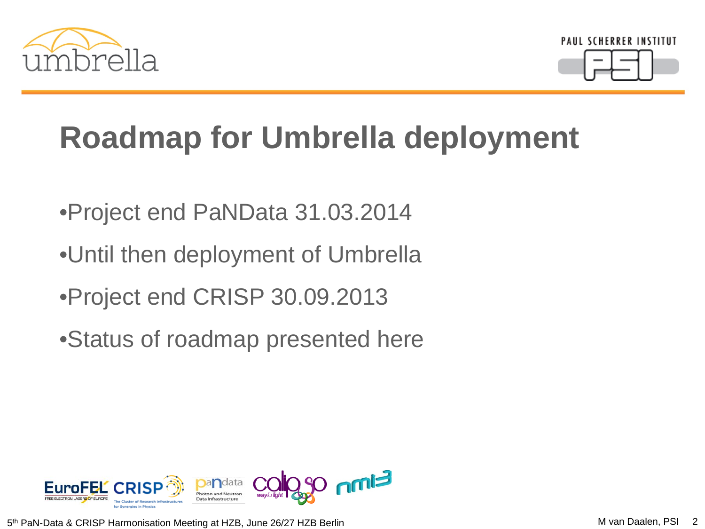



### **Roadmap for Umbrella deployment**

- •Project end PaNData 31.03.2014
- •Until then deployment of Umbrella
- •Project end CRISP 30.09.2013
- •Status of roadmap presented here



5<sup>th</sup> PaN-Data & CRISP Harmonisation Meeting at HZB, June 26/27 HZB Berlin M van Daalen, PSI 2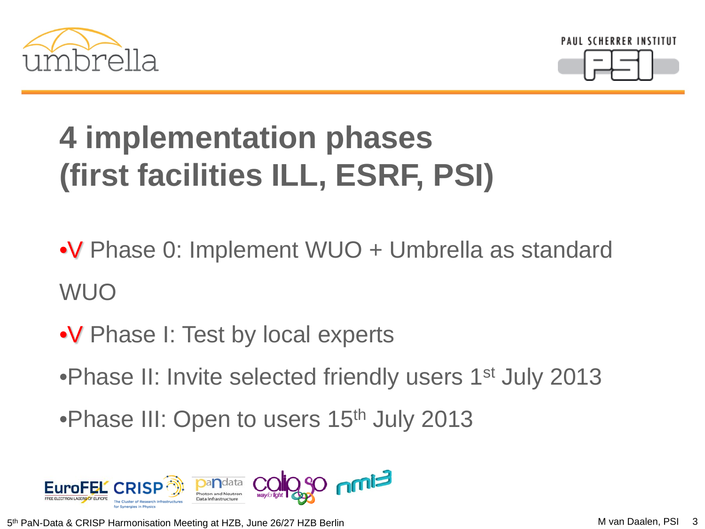



# **4 implementation phases (first facilities ILL, ESRF, PSI)**

•V Phase 0: Implement WUO + Umbrella as standard WUO

- •V Phase I: Test by local experts
- •Phase II: Invite selected friendly users 1<sup>st</sup> July 2013
- •Phase III: Open to users 15<sup>th</sup> July 2013



5<sup>th</sup> PaN-Data & CRISP Harmonisation Meeting at HZB, June 26/27 HZB Berlin M van Daalen, PSI 3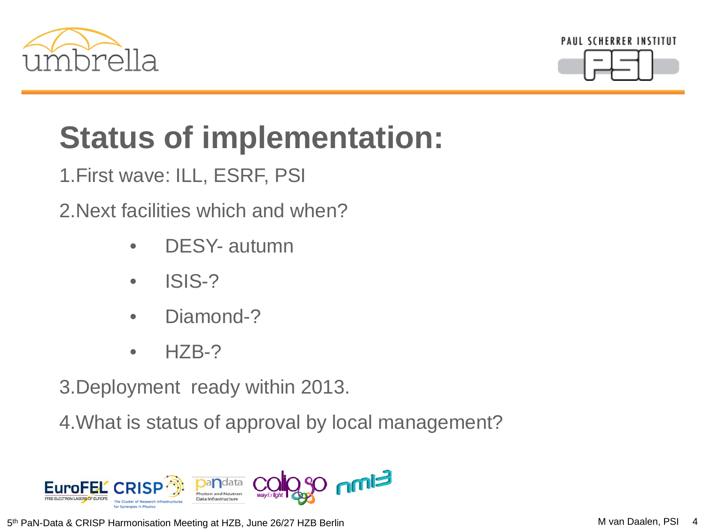



# **Status of implementation:**

1.First wave: ILL, ESRF, PSI

2.Next facilities which and when?

- DESY- autumn
- ISIS-?
- Diamond-?
- $\bullet$  HZB-?

3.Deployment ready within 2013.

4.What is status of approval by local management?



5<sup>th</sup> PaN-Data & CRISP Harmonisation Meeting at HZB, June 26/27 HZB Berlin Manus M van Daalen, PSI 4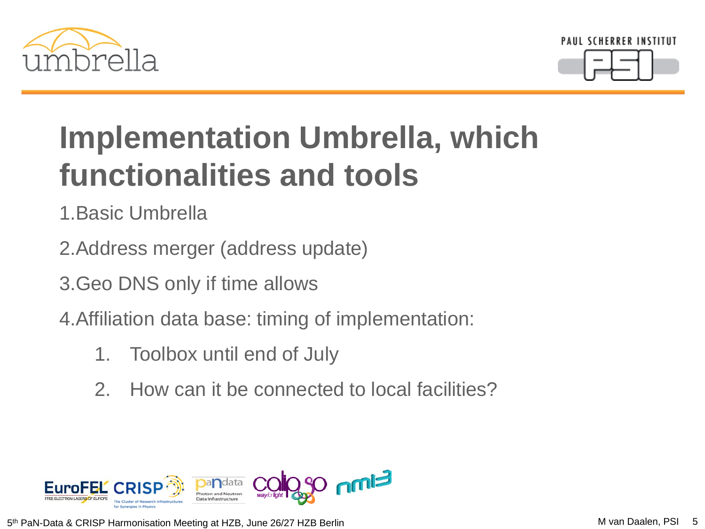



#### **Implementation Umbrella, which functionalities and tools**

1.Basic Umbrella

- 2.Address merger (address update)
- 3.Geo DNS only if time allows
- 4.Affiliation data base: timing of implementation:
	- 1. Toolbox until end of July
	- 2. How can it be connected to local facilities?



5<sup>th</sup> PaN-Data & CRISP Harmonisation Meeting at HZB, June 26/27 HZB Berlin M van Daalen, PSI 5